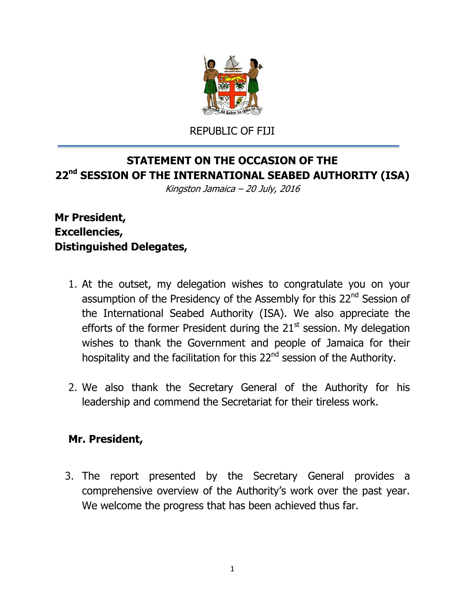

REPUBLIC OF FIJI

## **STATEMENT ON THE OCCASION OF THE 22 nd SESSION OF THE INTERNATIONAL SEABED AUTHORITY (ISA)**

Kingston Jamaica – 20 July, 2016

## **Mr President, Excellencies, Distinguished Delegates,**

- 1. At the outset, my delegation wishes to congratulate you on your assumption of the Presidency of the Assembly for this 22<sup>nd</sup> Session of the International Seabed Authority (ISA). We also appreciate the efforts of the former President during the  $21<sup>st</sup>$  session. My delegation wishes to thank the Government and people of Jamaica for their hospitality and the facilitation for this 22<sup>nd</sup> session of the Authority.
- 2. We also thank the Secretary General of the Authority for his leadership and commend the Secretariat for their tireless work.

## **Mr. President,**

3. The report presented by the Secretary General provides a comprehensive overview of the Authority's work over the past year. We welcome the progress that has been achieved thus far.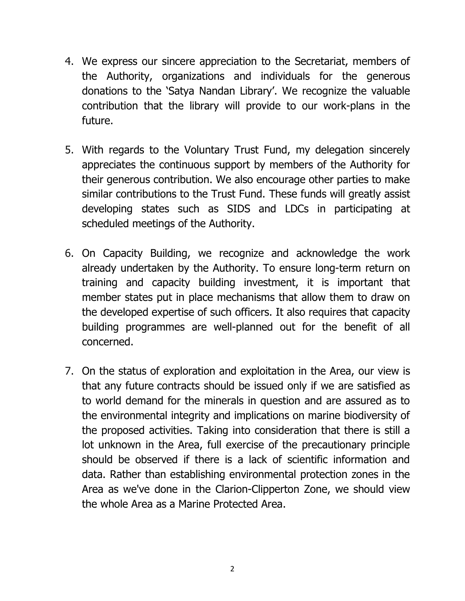- 4. We express our sincere appreciation to the Secretariat, members of the Authority, organizations and individuals for the generous donations to the 'Satya Nandan Library'. We recognize the valuable contribution that the library will provide to our work-plans in the future.
- 5. With regards to the Voluntary Trust Fund, my delegation sincerely appreciates the continuous support by members of the Authority for their generous contribution. We also encourage other parties to make similar contributions to the Trust Fund. These funds will greatly assist developing states such as SIDS and LDCs in participating at scheduled meetings of the Authority.
- 6. On Capacity Building, we recognize and acknowledge the work already undertaken by the Authority. To ensure long-term return on training and capacity building investment, it is important that member states put in place mechanisms that allow them to draw on the developed expertise of such officers. It also requires that capacity building programmes are well-planned out for the benefit of all concerned.
- 7. On the status of exploration and exploitation in the Area, our view is that any future contracts should be issued only if we are satisfied as to world demand for the minerals in question and are assured as to the environmental integrity and implications on marine biodiversity of the proposed activities. Taking into consideration that there is still a lot unknown in the Area, full exercise of the precautionary principle should be observed if there is a lack of scientific information and data. Rather than establishing environmental protection zones in the Area as we've done in the Clarion-Clipperton Zone, we should view the whole Area as a Marine Protected Area.